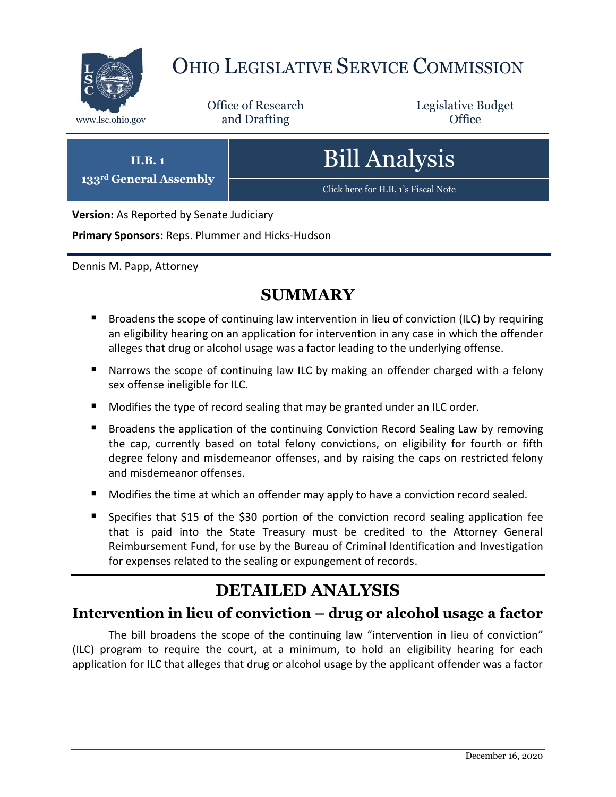

# OHIO LEGISLATIVE SERVICE COMMISSION

Office of Research www.lsc.ohio.gov **and Drafting Office** 

Legislative Budget

**H.B. 1 133rd General Assembly** Bill Analysis

[Click here for H.B. 1](https://www.legislature.ohio.gov/legislation/legislation-documents?id=GA133-HB-1)'s Fiscal Note

**Version:** As Reported by Senate Judiciary

**Primary Sponsors:** Reps. Plummer and Hicks-Hudson

Dennis M. Papp, Attorney

# **SUMMARY**

- Broadens the scope of continuing law intervention in lieu of conviction (ILC) by requiring an eligibility hearing on an application for intervention in any case in which the offender alleges that drug or alcohol usage was a factor leading to the underlying offense.
- **Narrows the scope of continuing law ILC by making an offender charged with a felony** sex offense ineligible for ILC.
- Modifies the type of record sealing that may be granted under an ILC order.
- **Broadens the application of the continuing Conviction Record Sealing Law by removing** the cap, currently based on total felony convictions, on eligibility for fourth or fifth degree felony and misdemeanor offenses, and by raising the caps on restricted felony and misdemeanor offenses.
- **Modifies the time at which an offender may apply to have a conviction record sealed.**
- Specifies that \$15 of the \$30 portion of the conviction record sealing application fee that is paid into the State Treasury must be credited to the Attorney General Reimbursement Fund, for use by the Bureau of Criminal Identification and Investigation for expenses related to the sealing or expungement of records.

# **DETAILED ANALYSIS**

## **Intervention in lieu of conviction – drug or alcohol usage a factor**

The bill broadens the scope of the continuing law "intervention in lieu of conviction" (ILC) program to require the court, at a minimum, to hold an eligibility hearing for each application for ILC that alleges that drug or alcohol usage by the applicant offender was a factor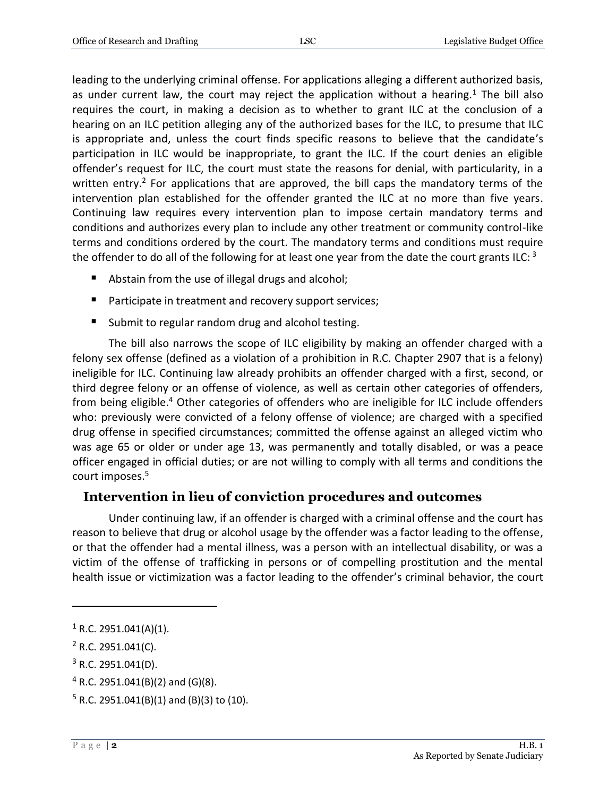leading to the underlying criminal offense. For applications alleging a different authorized basis, as under current law, the court may reject the application without a hearing.<sup>1</sup> The bill also requires the court, in making a decision as to whether to grant ILC at the conclusion of a hearing on an ILC petition alleging any of the authorized bases for the ILC, to presume that ILC is appropriate and, unless the court finds specific reasons to believe that the candidate's participation in ILC would be inappropriate, to grant the ILC. If the court denies an eligible offender's request for ILC, the court must state the reasons for denial, with particularity, in a written entry.<sup>2</sup> For applications that are approved, the bill caps the mandatory terms of the intervention plan established for the offender granted the ILC at no more than five years. Continuing law requires every intervention plan to impose certain mandatory terms and conditions and authorizes every plan to include any other treatment or community control-like terms and conditions ordered by the court. The mandatory terms and conditions must require the offender to do all of the following for at least one year from the date the court grants ILC:  $3$ 

- Abstain from the use of illegal drugs and alcohol;
- **Participate in treatment and recovery support services;**
- Submit to regular random drug and alcohol testing.

The bill also narrows the scope of ILC eligibility by making an offender charged with a felony sex offense (defined as a violation of a prohibition in R.C. Chapter 2907 that is a felony) ineligible for ILC. Continuing law already prohibits an offender charged with a first, second, or third degree felony or an offense of violence, as well as certain other categories of offenders, from being eligible.<sup>4</sup> Other categories of offenders who are ineligible for ILC include offenders who: previously were convicted of a felony offense of violence; are charged with a specified drug offense in specified circumstances; committed the offense against an alleged victim who was age 65 or older or under age 13, was permanently and totally disabled, or was a peace officer engaged in official duties; or are not willing to comply with all terms and conditions the court imposes.<sup>5</sup>

#### **Intervention in lieu of conviction procedures and outcomes**

Under continuing law, if an offender is charged with a criminal offense and the court has reason to believe that drug or alcohol usage by the offender was a factor leading to the offense, or that the offender had a mental illness, was a person with an intellectual disability, or was a victim of the offense of trafficking in persons or of compelling prostitution and the mental health issue or victimization was a factor leading to the offender's criminal behavior, the court

 $1$  R.C. 2951.041(A)(1).

 $2$  R.C. 2951.041(C).

 $3$  R.C. 2951.041(D).

 $4$  R.C. 2951.041(B)(2) and (G)(8).

 $5$  R.C. 2951.041(B)(1) and (B)(3) to (10).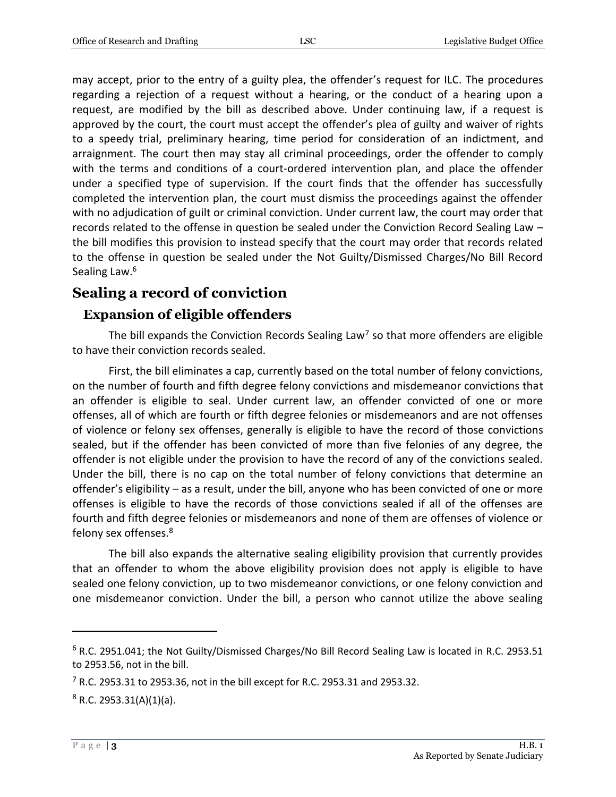may accept, prior to the entry of a guilty plea, the offender's request for ILC. The procedures regarding a rejection of a request without a hearing, or the conduct of a hearing upon a request, are modified by the bill as described above. Under continuing law, if a request is approved by the court, the court must accept the offender's plea of guilty and waiver of rights to a speedy trial, preliminary hearing, time period for consideration of an indictment, and arraignment. The court then may stay all criminal proceedings, order the offender to comply with the terms and conditions of a court-ordered intervention plan, and place the offender under a specified type of supervision. If the court finds that the offender has successfully completed the intervention plan, the court must dismiss the proceedings against the offender with no adjudication of guilt or criminal conviction. Under current law, the court may order that records related to the offense in question be sealed under the Conviction Record Sealing Law – the bill modifies this provision to instead specify that the court may order that records related to the offense in question be sealed under the Not Guilty/Dismissed Charges/No Bill Record Sealing Law.<sup>6</sup>

### **Sealing a record of conviction**

#### **Expansion of eligible offenders**

The bill expands the Conviction Records Sealing Law<sup>7</sup> so that more offenders are eligible to have their conviction records sealed.

First, the bill eliminates a cap, currently based on the total number of felony convictions, on the number of fourth and fifth degree felony convictions and misdemeanor convictions that an offender is eligible to seal. Under current law, an offender convicted of one or more offenses, all of which are fourth or fifth degree felonies or misdemeanors and are not offenses of violence or felony sex offenses, generally is eligible to have the record of those convictions sealed, but if the offender has been convicted of more than five felonies of any degree, the offender is not eligible under the provision to have the record of any of the convictions sealed. Under the bill, there is no cap on the total number of felony convictions that determine an offender's eligibility – as a result, under the bill, anyone who has been convicted of one or more offenses is eligible to have the records of those convictions sealed if all of the offenses are fourth and fifth degree felonies or misdemeanors and none of them are offenses of violence or felony sex offenses.<sup>8</sup>

The bill also expands the alternative sealing eligibility provision that currently provides that an offender to whom the above eligibility provision does not apply is eligible to have sealed one felony conviction, up to two misdemeanor convictions, or one felony conviction and one misdemeanor conviction. Under the bill, a person who cannot utilize the above sealing

 $6$  R.C. 2951.041; the Not Guilty/Dismissed Charges/No Bill Record Sealing Law is located in R.C. 2953.51 to 2953.56, not in the bill.

 $7$  R.C. 2953.31 to 2953.36, not in the bill except for R.C. 2953.31 and 2953.32.

 $8$  R.C. 2953.31(A)(1)(a).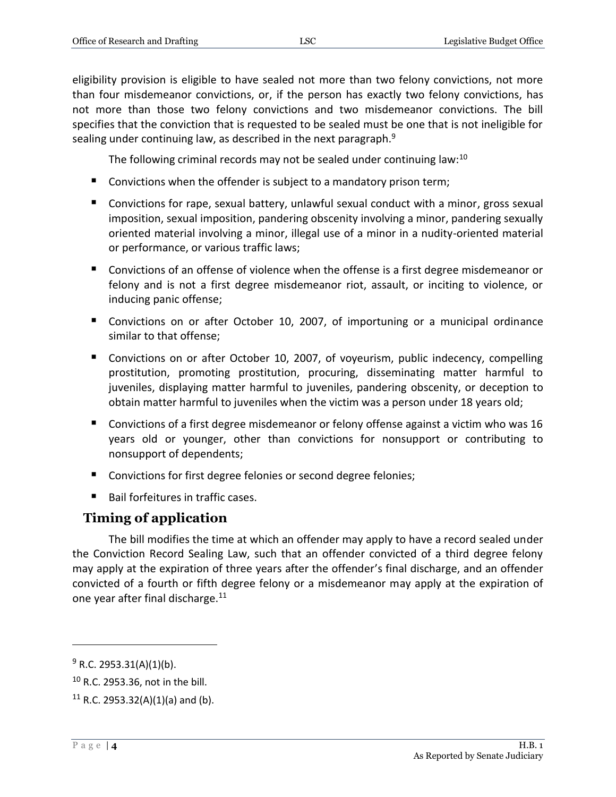eligibility provision is eligible to have sealed not more than two felony convictions, not more than four misdemeanor convictions, or, if the person has exactly two felony convictions, has not more than those two felony convictions and two misdemeanor convictions. The bill specifies that the conviction that is requested to be sealed must be one that is not ineligible for sealing under continuing law, as described in the next paragraph.<sup>9</sup>

The following criminal records may not be sealed under continuing law:<sup>10</sup>

- Convictions when the offender is subject to a mandatory prison term;
- Convictions for rape, sexual battery, unlawful sexual conduct with a minor, gross sexual imposition, sexual imposition, pandering obscenity involving a minor, pandering sexually oriented material involving a minor, illegal use of a minor in a nudity-oriented material or performance, or various traffic laws;
- Convictions of an offense of violence when the offense is a first degree misdemeanor or felony and is not a first degree misdemeanor riot, assault, or inciting to violence, or inducing panic offense;
- Convictions on or after October 10, 2007, of importuning or a municipal ordinance similar to that offense;
- Convictions on or after October 10, 2007, of voyeurism, public indecency, compelling prostitution, promoting prostitution, procuring, disseminating matter harmful to juveniles, displaying matter harmful to juveniles, pandering obscenity, or deception to obtain matter harmful to juveniles when the victim was a person under 18 years old;
- Convictions of a first degree misdemeanor or felony offense against a victim who was 16 years old or younger, other than convictions for nonsupport or contributing to nonsupport of dependents;
- Convictions for first degree felonies or second degree felonies;
- Bail forfeitures in traffic cases.

### **Timing of application**

The bill modifies the time at which an offender may apply to have a record sealed under the Conviction Record Sealing Law, such that an offender convicted of a third degree felony may apply at the expiration of three years after the offender's final discharge, and an offender convicted of a fourth or fifth degree felony or a misdemeanor may apply at the expiration of one year after final discharge.<sup>11</sup>

 $9$  R.C. 2953.31(A)(1)(b).

<sup>10</sup> R.C. 2953.36, not in the bill.

 $11$  R.C. 2953.32(A)(1)(a) and (b).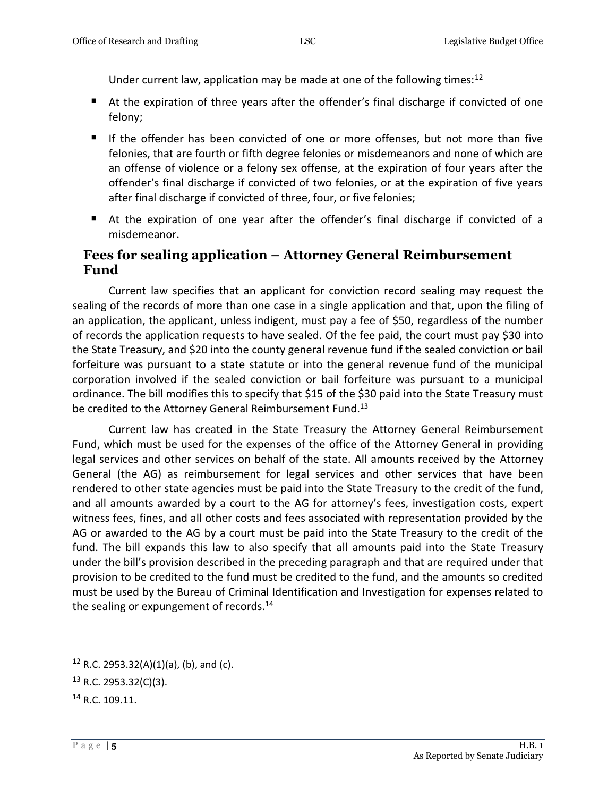Under current law, application may be made at one of the following times:<sup>12</sup>

- At the expiration of three years after the offender's final discharge if convicted of one felony;
- If the offender has been convicted of one or more offenses, but not more than five felonies, that are fourth or fifth degree felonies or misdemeanors and none of which are an offense of violence or a felony sex offense, at the expiration of four years after the offender's final discharge if convicted of two felonies, or at the expiration of five years after final discharge if convicted of three, four, or five felonies;
- At the expiration of one year after the offender's final discharge if convicted of a misdemeanor.

#### **Fees for sealing application – Attorney General Reimbursement Fund**

Current law specifies that an applicant for conviction record sealing may request the sealing of the records of more than one case in a single application and that, upon the filing of an application, the applicant, unless indigent, must pay a fee of \$50, regardless of the number of records the application requests to have sealed. Of the fee paid, the court must pay \$30 into the State Treasury, and \$20 into the county general revenue fund if the sealed conviction or bail forfeiture was pursuant to a state statute or into the general revenue fund of the municipal corporation involved if the sealed conviction or bail forfeiture was pursuant to a municipal ordinance. The bill modifies this to specify that \$15 of the \$30 paid into the State Treasury must be credited to the Attorney General Reimbursement Fund.<sup>13</sup>

Current law has created in the State Treasury the Attorney General Reimbursement Fund, which must be used for the expenses of the office of the Attorney General in providing legal services and other services on behalf of the state. All amounts received by the Attorney General (the AG) as reimbursement for legal services and other services that have been rendered to other state agencies must be paid into the State Treasury to the credit of the fund, and all amounts awarded by a court to the AG for attorney's fees, investigation costs, expert witness fees, fines, and all other costs and fees associated with representation provided by the AG or awarded to the AG by a court must be paid into the State Treasury to the credit of the fund. The bill expands this law to also specify that all amounts paid into the State Treasury under the bill's provision described in the preceding paragraph and that are required under that provision to be credited to the fund must be credited to the fund, and the amounts so credited must be used by the Bureau of Criminal Identification and Investigation for expenses related to the sealing or expungement of records. $14$ 

 $12$  R.C. 2953.32(A)(1)(a), (b), and (c).

<sup>13</sup> R.C. 2953.32(C)(3).

<sup>14</sup> R.C. 109.11.